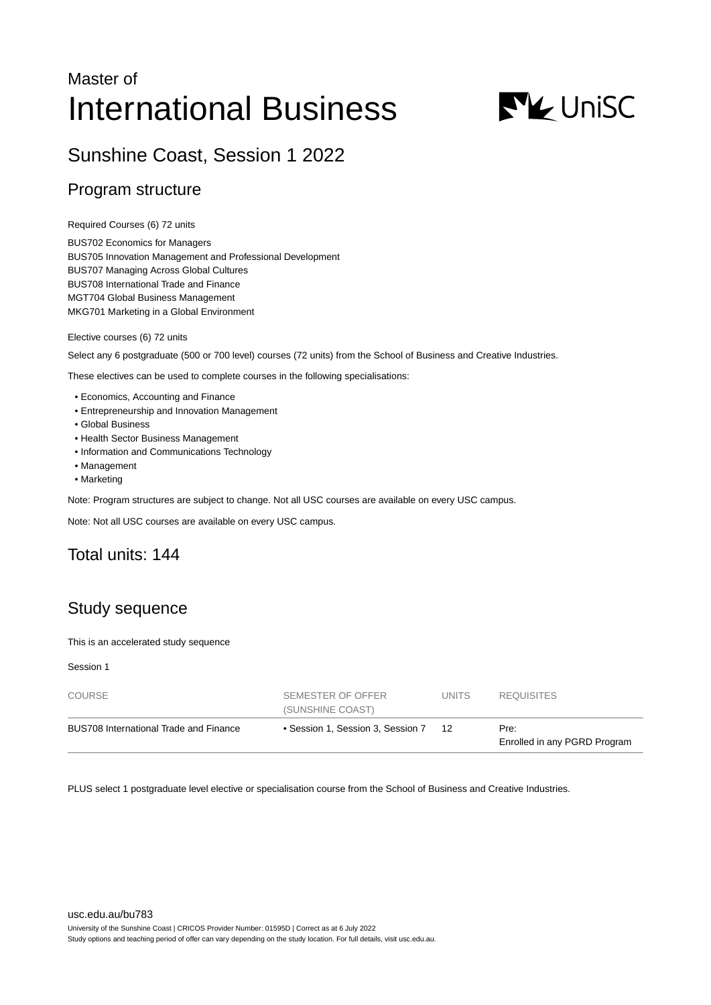# Master of International Business



# Sunshine Coast, Session 1 2022

### Program structure

Required Courses (6) 72 units

BUS702 Economics for Managers BUS705 Innovation Management and Professional Development BUS707 Managing Across Global Cultures BUS708 International Trade and Finance MGT704 Global Business Management MKG701 Marketing in a Global Environment

Elective courses (6) 72 units

Select any 6 postgraduate (500 or 700 level) courses (72 units) from the School of Business and Creative Industries.

These electives can be used to complete courses in the following specialisations:

- Economics, Accounting and Finance
- Entrepreneurship and Innovation Management
- Global Business
- Health Sector Business Management
- Information and Communications Technology
- Management
- Marketing

Note: Program structures are subject to change. Not all USC courses are available on every USC campus.

Note: Not all USC courses are available on every USC campus.

# Total units: 144

# Study sequence

This is an accelerated study sequence

Session 1

| COURSE                                 | SEMESTER OF OFFER<br>(SUNSHINE COAST) | UNITS. | <b>REQUISITES</b>                    |
|----------------------------------------|---------------------------------------|--------|--------------------------------------|
| BUS708 International Trade and Finance | • Session 1, Session 3, Session 7     | 12     | Pre:<br>Enrolled in any PGRD Program |

PLUS select 1 postgraduate level elective or specialisation course from the School of Business and Creative Industries.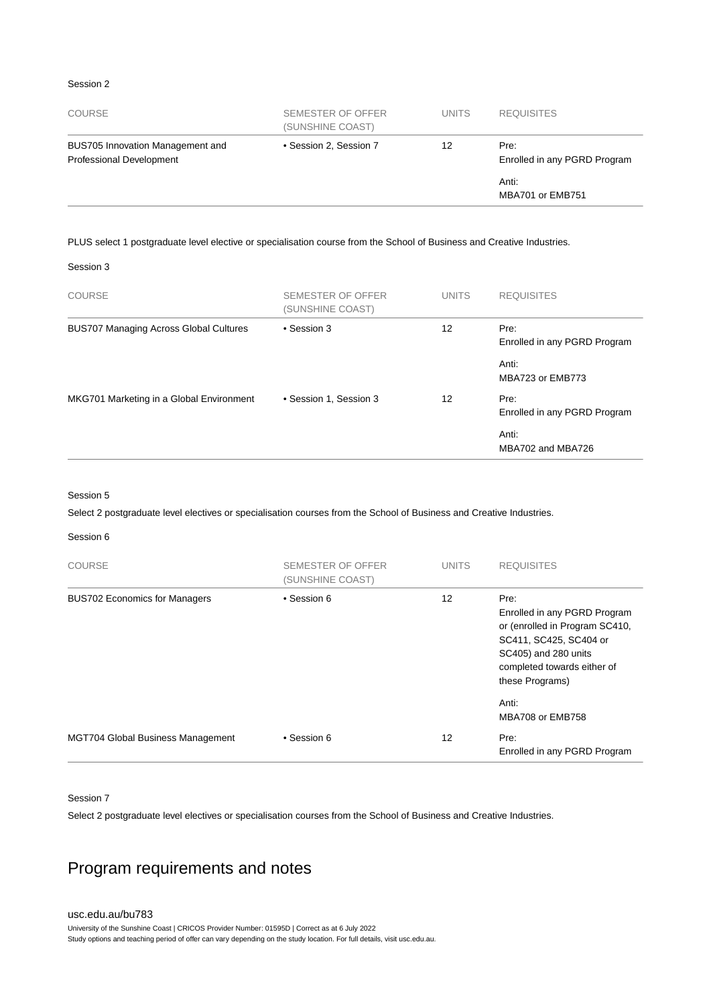#### Session 2

| <b>COURSE</b>                                                       | SEMESTER OF OFFER<br>(SUNSHINE COAST) | <b>UNITS</b> | <b>REQUISITES</b>                    |
|---------------------------------------------------------------------|---------------------------------------|--------------|--------------------------------------|
| BUS705 Innovation Management and<br><b>Professional Development</b> | • Session 2, Session 7                | 12           | Pre:<br>Enrolled in any PGRD Program |
|                                                                     |                                       |              | Anti:<br>MBA701 or EMB751            |

#### PLUS select 1 postgraduate level elective or specialisation course from the School of Business and Creative Industries.

Session 3

| COURSE                                        | SEMESTER OF OFFER<br>(SUNSHINE COAST) | <b>UNITS</b> | <b>REQUISITES</b>                    |
|-----------------------------------------------|---------------------------------------|--------------|--------------------------------------|
| <b>BUS707 Managing Across Global Cultures</b> | • Session 3                           | 12           | Pre:<br>Enrolled in any PGRD Program |
|                                               |                                       |              | Anti:<br>MBA723 or EMB773            |
| MKG701 Marketing in a Global Environment      | • Session 1, Session 3                | 12           | Pre:<br>Enrolled in any PGRD Program |
|                                               |                                       |              | Anti:<br>MBA702 and MBA726           |

#### Session 5

Select 2 postgraduate level electives or specialisation courses from the School of Business and Creative Industries.

#### Session 6

| <b>COURSE</b>                            | SEMESTER OF OFFER<br>(SUNSHINE COAST) | <b>UNITS</b> | <b>REQUISITES</b>                                                                                                                                                          |
|------------------------------------------|---------------------------------------|--------------|----------------------------------------------------------------------------------------------------------------------------------------------------------------------------|
| <b>BUS702 Economics for Managers</b>     | • Session 6                           | 12           | Pre:<br>Enrolled in any PGRD Program<br>or (enrolled in Program SC410,<br>SC411, SC425, SC404 or<br>SC405) and 280 units<br>completed towards either of<br>these Programs) |
|                                          |                                       |              | Anti:<br>MBA708 or EMB758                                                                                                                                                  |
| <b>MGT704 Global Business Management</b> | • Session 6                           | 12           | Pre:<br>Enrolled in any PGRD Program                                                                                                                                       |

#### Session 7

Select 2 postgraduate level electives or specialisation courses from the School of Business and Creative Industries.

# Program requirements and notes

#### [usc.edu.au/bu783](https://www.usc.edu.au/bu783) University of the Sunshine Coast | CRICOS Provider Number: 01595D | Correct as at 6 July 2022 Study options and teaching period of offer can vary depending on the study location. For full details, visit usc.edu.au.